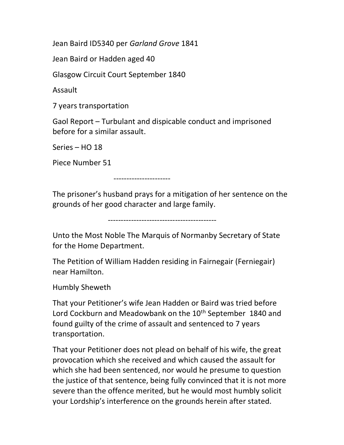Jean Baird ID5340 per Garland Grove 1841

Jean Baird or Hadden aged 40

Glasgow Circuit Court September 1840

Assault

7 years transportation

Gaol Report – Turbulant and dispicable conduct and imprisoned before for a similar assault.

Series – HO 18

Piece Number 51

----------------------

The prisoner's husband prays for a mitigation of her sentence on the grounds of her good character and large family.

------------------------------------------

Unto the Most Noble The Marquis of Normanby Secretary of State for the Home Department.

The Petition of William Hadden residing in Fairnegair (Ferniegair) near Hamilton.

Humbly Sheweth

That your Petitioner's wife Jean Hadden or Baird was tried before Lord Cockburn and Meadowbank on the 10<sup>th</sup> September 1840 and found guilty of the crime of assault and sentenced to 7 years transportation.

That your Petitioner does not plead on behalf of his wife, the great provocation which she received and which caused the assault for which she had been sentenced, nor would he presume to question the justice of that sentence, being fully convinced that it is not more severe than the offence merited, but he would most humbly solicit your Lordship's interference on the grounds herein after stated.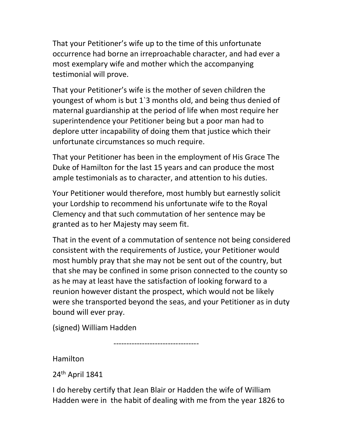That your Petitioner's wife up to the time of this unfortunate occurrence had borne an irreproachable character, and had ever a most exemplary wife and mother which the accompanying testimonial will prove.

That your Petitioner's wife is the mother of seven children the youngest of whom is but 1`3 months old, and being thus denied of maternal guardianship at the period of life when most require her superintendence your Petitioner being but a poor man had to deplore utter incapability of doing them that justice which their unfortunate circumstances so much require.

That your Petitioner has been in the employment of His Grace The Duke of Hamilton for the last 15 years and can produce the most ample testimonials as to character, and attention to his duties.

Your Petitioner would therefore, most humbly but earnestly solicit your Lordship to recommend his unfortunate wife to the Royal Clemency and that such commutation of her sentence may be granted as to her Majesty may seem fit.

That in the event of a commutation of sentence not being considered consistent with the requirements of Justice, your Petitioner would most humbly pray that she may not be sent out of the country, but that she may be confined in some prison connected to the county so as he may at least have the satisfaction of looking forward to a reunion however distant the prospect, which would not be likely were she transported beyond the seas, and your Petitioner as in duty bound will ever pray.

(signed) William Hadden

---------------------------------

Hamilton

24<sup>th</sup> April 1841

I do hereby certify that Jean Blair or Hadden the wife of William Hadden were in the habit of dealing with me from the year 1826 to